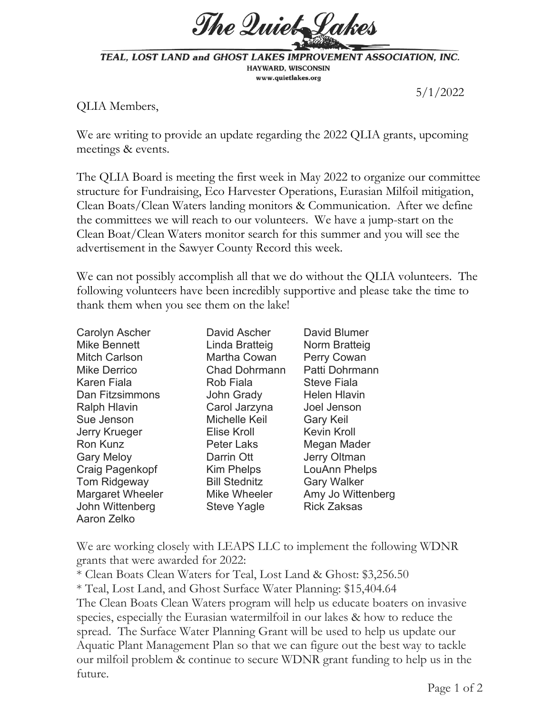

TEAL, LOST LAND and GHOST LAKES IMPROVEMENT ASSOCIATION, INC. HAYWARD, WISCONSIN www.quietlakes.org

5/1/2022

QLIA Members,

We are writing to provide an update regarding the 2022 QLIA grants, upcoming meetings & events.

The QLIA Board is meeting the first week in May 2022 to organize our committee structure for Fundraising, Eco Harvester Operations, Eurasian Milfoil mitigation, Clean Boats/Clean Waters landing monitors & Communication. After we define the committees we will reach to our volunteers. We have a jump-start on the Clean Boat/Clean Waters monitor search for this summer and you will see the advertisement in the Sawyer County Record this week.

We can not possibly accomplish all that we do without the QLIA volunteers. The following volunteers have been incredibly supportive and please take the time to thank them when you see them on the lake!

| Carolyn Ascher          | David Ascher         | David Blumer        |
|-------------------------|----------------------|---------------------|
| <b>Mike Bennett</b>     | Linda Bratteig       | Norm Bratteig       |
| <b>Mitch Carlson</b>    | Martha Cowan         | Perry Cowan         |
| <b>Mike Derrico</b>     | <b>Chad Dohrmann</b> | Patti Dohrmann      |
| Karen Fiala             | Rob Fiala            | <b>Steve Fiala</b>  |
| Dan Fitzsimmons         | John Grady           | <b>Helen Hlavin</b> |
| <b>Ralph Hlavin</b>     | Carol Jarzyna        | Joel Jenson         |
| Sue Jenson              | Michelle Keil        | <b>Gary Keil</b>    |
| <b>Jerry Krueger</b>    | Elise Kroll          | <b>Kevin Kroll</b>  |
| Ron Kunz                | <b>Peter Laks</b>    | Megan Mader         |
| <b>Gary Meloy</b>       | Darrin Ott           | Jerry Oltman        |
| Craig Pagenkopf         | Kim Phelps           | LouAnn Phelps       |
| Tom Ridgeway            | <b>Bill Stednitz</b> | <b>Gary Walker</b>  |
| <b>Margaret Wheeler</b> | Mike Wheeler         | Amy Jo Wittenberg   |
| John Wittenberg         | <b>Steve Yagle</b>   | <b>Rick Zaksas</b>  |
| Aaron Zelko             |                      |                     |

We are working closely with LEAPS LLC to implement the following WDNR grants that were awarded for 2022:

\* Clean Boats Clean Waters for Teal, Lost Land & Ghost: \$3,256.50

\* Teal, Lost Land, and Ghost Surface Water Planning: \$15,404.64

The Clean Boats Clean Waters program will help us educate boaters on invasive species, especially the Eurasian watermilfoil in our lakes & how to reduce the spread. The Surface Water Planning Grant will be used to help us update our Aquatic Plant Management Plan so that we can figure out the best way to tackle our milfoil problem & continue to secure WDNR grant funding to help us in the future.